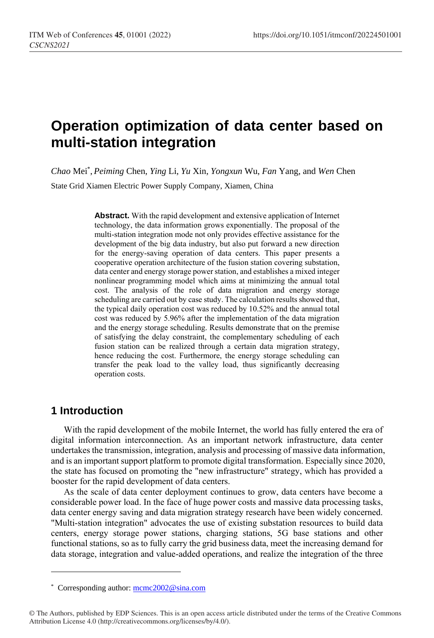# **Operation optimization of data center based on multi-station integration**

*Chao* Mei\* , *Peiming* Chen, *Ying* Li, *Yu* Xin, *Yongxun* Wu, *Fan* Yang, and *Wen* Chen

State Grid Xiamen Electric Power Supply Company, Xiamen, China

**Abstract.** With the rapid development and extensive application of Internet technology, the data information grows exponentially. The proposal of the multi-station integration mode not only provides effective assistance for the development of the big data industry, but also put forward a new direction for the energy-saving operation of data centers. This paper presents a cooperative operation architecture of the fusion station covering substation, data center and energy storage power station, and establishes a mixed integer nonlinear programming model which aims at minimizing the annual total cost. The analysis of the role of data migration and energy storage scheduling are carried out by case study. The calculation results showed that, the typical daily operation cost was reduced by 10.52% and the annual total cost was reduced by 5.96% after the implementation of the data migration and the energy storage scheduling. Results demonstrate that on the premise of satisfying the delay constraint, the complementary scheduling of each fusion station can be realized through a certain data migration strategy, hence reducing the cost. Furthermore, the energy storage scheduling can transfer the peak load to the valley load, thus significantly decreasing operation costs.

# **1 Introduction**

 $\overline{a}$ 

With the rapid development of the mobile Internet, the world has fully entered the era of digital information interconnection. As an important network infrastructure, data center undertakes the transmission, integration, analysis and processing of massive data information, and is an important support platform to promote digital transformation. Especially since 2020, the state has focused on promoting the "new infrastructure" strategy, which has provided a booster for the rapid development of data centers.

As the scale of data center deployment continues to grow, data centers have become a considerable power load. In the face of huge power costs and massive data processing tasks, data center energy saving and data migration strategy research have been widely concerned. "Multi-station integration" advocates the use of existing substation resources to build data centers, energy storage power stations, charging stations, 5G base stations and other functional stations, so as to fully carry the grid business data, meet the increasing demand for data storage, integration and value-added operations, and realize the integration of the three

<sup>\*</sup> Corresponding author[: mcmc2002@sina.com](mailto:mcmc2002@sina.com)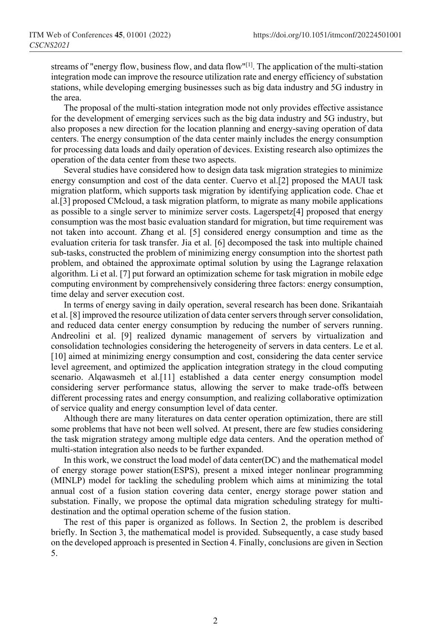streams of "energy flow, business flow, and data flow"<sup>[1]</sup>. The application of the multi-station integration mode can improve the resource utilization rate and energy efficiency of substation stations, while developing emerging businesses such as big data industry and 5G industry in the area.

The proposal of the multi-station integration mode not only provides effective assistance for the development of emerging services such as the big data industry and 5G industry, but also proposes a new direction for the location planning and energy-saving operation of data centers. The energy consumption of the data center mainly includes the energy consumption for processing data loads and daily operation of devices. Existing research also optimizes the operation of the data center from these two aspects.

Several studies have considered how to design data task migration strategies to minimize energy consumption and cost of the data center. Cuervo et al.[2] proposed the MAUI task migration platform, which supports task migration by identifying application code. Chae et al.[3] proposed CMcloud, a task migration platform, to migrate as many mobile applications as possible to a single server to minimize server costs. Lagerspetz[4] proposed that energy consumption was the most basic evaluation standard for migration, but time requirement was not taken into account. Zhang et al. [5] considered energy consumption and time as the evaluation criteria for task transfer. Jia et al. [6] decomposed the task into multiple chained sub-tasks, constructed the problem of minimizing energy consumption into the shortest path problem, and obtained the approximate optimal solution by using the Lagrange relaxation algorithm. Li et al. [7] put forward an optimization scheme for task migration in mobile edge computing environment by comprehensively considering three factors: energy consumption, time delay and server execution cost.

In terms of energy saving in daily operation, several research has been done. Srikantaiah et al. [8] improved the resource utilization of data center servers through server consolidation, and reduced data center energy consumption by reducing the number of servers running. Andreolini et al. [9] realized dynamic management of servers by virtualization and consolidation technologies considering the heterogeneity of servers in data centers. Le et al. [10] aimed at minimizing energy consumption and cost, considering the data center service level agreement, and optimized the application integration strategy in the cloud computing scenario. Alqawasmeh et al.[11] established a data center energy consumption model considering server performance status, allowing the server to make trade-offs between different processing rates and energy consumption, and realizing collaborative optimization of service quality and energy consumption level of data center.

Although there are many literatures on data center operation optimization, there are still some problems that have not been well solved. At present, there are few studies considering the task migration strategy among multiple edge data centers. And the operation method of multi-station integration also needs to be further expanded.

In this work, we construct the load model of data center(DC) and the mathematical model of energy storage power station(ESPS), present a mixed integer nonlinear programming (MINLP) model for tackling the scheduling problem which aims at minimizing the total annual cost of a fusion station covering data center, energy storage power station and substation. Finally, we propose the optimal data migration scheduling strategy for multidestination and the optimal operation scheme of the fusion station.

The rest of this paper is organized as follows. In Section 2, the problem is described briefly. In Section 3, the mathematical model is provided. Subsequently, a case study based on the developed approach is presented in Section 4. Finally, conclusions are given in Section 5.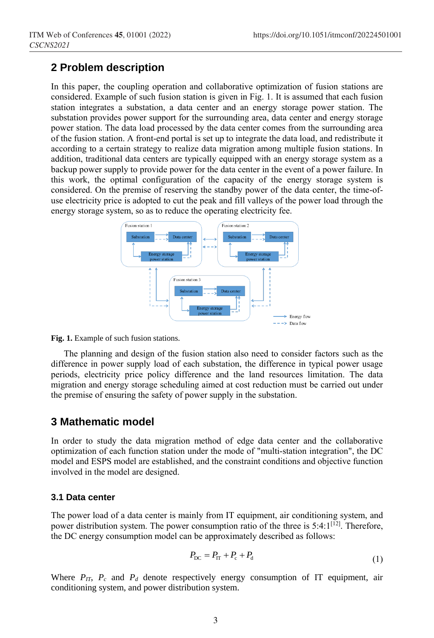# **2 Problem description**

In this paper, the coupling operation and collaborative optimization of fusion stations are considered. Example of such fusion station is given in Fig. 1. It is assumed that each fusion station integrates a substation, a data center and an energy storage power station. The substation provides power support for the surrounding area, data center and energy storage power station. The data load processed by the data center comes from the surrounding area of the fusion station. A front-end portal is set up to integrate the data load, and redistribute it according to a certain strategy to realize data migration among multiple fusion stations. In addition, traditional data centers are typically equipped with an energy storage system as a backup power supply to provide power for the data center in the event of a power failure. In this work, the optimal configuration of the capacity of the energy storage system is considered. On the premise of reserving the standby power of the data center, the time-ofuse electricity price is adopted to cut the peak and fill valleys of the power load through the energy storage system, so as to reduce the operating electricity fee.



Fig. 1. Example of such fusion stations.

The planning and design of the fusion station also need to consider factors such as the difference in power supply load of each substation, the difference in typical power usage periods, electricity price policy difference and the land resources limitation. The data migration and energy storage scheduling aimed at cost reduction must be carried out under the premise of ensuring the safety of power supply in the substation.

### **3 Mathematic model**

In order to study the data migration method of edge data center and the collaborative optimization of each function station under the mode of "multi-station integration", the DC model and ESPS model are established, and the constraint conditions and objective function involved in the model are designed.

### **3.1 Data center**

The power load of a data center is mainly from IT equipment, air conditioning system, and power distribution system. The power consumption ratio of the three is 5:4:1<sup>[12]</sup>. Therefore, the DC energy consumption model can be approximately described as follows:

$$
P_{\rm DC} = P_{\rm IT} + P_{\rm c} + P_{\rm d} \tag{1}
$$

Where  $P_{IT}$ ,  $P_c$  and  $P_d$  denote respectively energy consumption of IT equipment, air conditioning system, and power distribution system.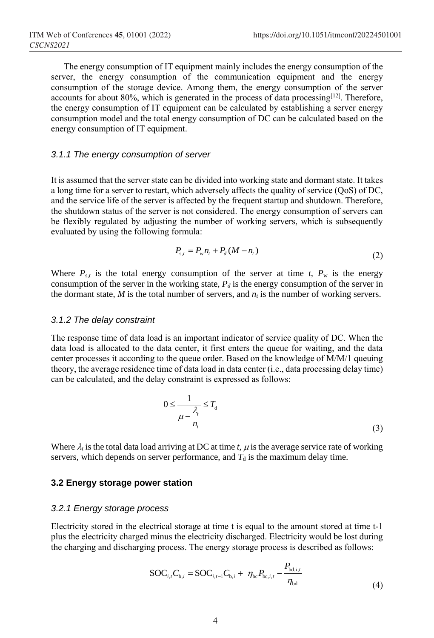The energy consumption of IT equipment mainly includes the energy consumption of the server, the energy consumption of the communication equipment and the energy consumption of the storage device. Among them, the energy consumption of the server accounts for about 80%, which is generated in the process of data processing $[12]$ . Therefore, the energy consumption of IT equipment can be calculated by establishing a server energy consumption model and the total energy consumption of DC can be calculated based on the energy consumption of IT equipment.

### *3.1.1 The energy consumption of server*

It is assumed that the server state can be divided into working state and dormant state. It takes a long time for a server to restart, which adversely affects the quality of service (QoS) of DC, and the service life of the server is affected by the frequent startup and shutdown. Therefore, the shutdown status of the server is not considered. The energy consumption of servers can be flexibly regulated by adjusting the number of working servers, which is subsequently evaluated by using the following formula:

$$
P_{s,t} = P_w n_t + P_d (M - n_t)
$$
\n(2)

Where  $P_{s,t}$  is the total energy consumption of the server at time *t*,  $P_w$  is the energy consumption of the server in the working state,  $P_d$  is the energy consumption of the server in the dormant state,  $M$  is the total number of servers, and  $n_t$  is the number of working servers.

#### *3.1.2 The delay constraint*

The response time of data load is an important indicator of service quality of DC. When the data load is allocated to the data center, it first enters the queue for waiting, and the data center processes it according to the queue order. Based on the knowledge of M/M/1 queuing theory, the average residence time of data load in data center (i.e., data processing delay time) can be calculated, and the delay constraint is expressed as follows:

$$
0 \le \frac{1}{\mu - \frac{\lambda_i}{n_i}} \le T_d
$$
\n(3)

Where  $\lambda_i$  is the total data load arriving at DC at time *t*,  $\mu$  is the average service rate of working servers, which depends on server performance, and  $T<sub>d</sub>$  is the maximum delay time.

#### **3.2 Energy storage power station**

#### *3.2.1 Energy storage process*

Electricity stored in the electrical storage at time t is equal to the amount stored at time t-1 plus the electricity charged minus the electricity discharged. Electricity would be lost during the charging and discharging process. The energy storage process is described as follows:

$$
SOC_{i,t}C_{b,i} = SOC_{i,t-1}C_{b,i} + \eta_{bc}P_{bc,i,t} - \frac{P_{bd,i,t}}{\eta_{bd}}
$$
(4)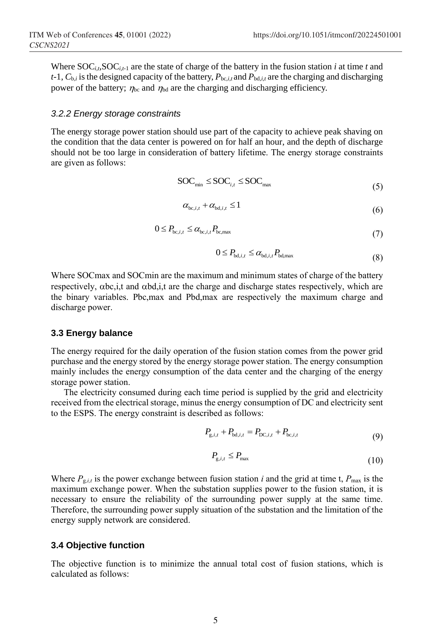Where  $SOC_i$ ,  $SOC_{i-1}$  are the state of charge of the battery in the fusion station *i* at time *t* and  $t-1$ ,  $C_{b,i}$  is the designed capacity of the battery,  $P_{bc,i,t}$  and  $P_{bd,i,t}$  are the charging and discharging power of the battery;  $\eta_{bc}$  and  $\eta_{bd}$  are the charging and discharging efficiency.

#### *3.2.2 Energy storage constraints*

The energy storage power station should use part of the capacity to achieve peak shaving on the condition that the data center is powered on for half an hour, and the depth of discharge should not be too large in consideration of battery lifetime. The energy storage constraints are given as follows:

$$
SOC_{\min} \leq SOC_{i,t} \leq SOC_{\max} \tag{5}
$$

$$
\alpha_{\text{bc},i,t} + \alpha_{\text{bd},i,t} \le 1 \tag{6}
$$

$$
0 \le P_{bc,i,t} \le \alpha_{bc,i,t} P_{bc,\text{max}}
$$
\n<sup>(7)</sup>

$$
0 \le P_{\text{bd},i,t} \le \alpha_{\text{bd},i,t} P_{\text{bd},\text{max}}
$$
\n(8)

Where SOCmax and SOCmin are the maximum and minimum states of charge of the battery respectively,  $\alpha$ bc, i,t and  $\alpha$ bd, i,t are the charge and discharge states respectively, which are the binary variables. Pbc,max and Pbd,max are respectively the maximum charge and discharge power.

#### **3.3 Energy balance**

The energy required for the daily operation of the fusion station comes from the power grid purchase and the energy stored by the energy storage power station. The energy consumption mainly includes the energy consumption of the data center and the charging of the energy storage power station.

The electricity consumed during each time period is supplied by the grid and electricity received from the electrical storage, minus the energy consumption of DC and electricity sent to the ESPS. The energy constraint is described as follows:

$$
P_{g,i,t} + P_{bd,i,t} = P_{DC,i,t} + P_{bc,i,t}
$$
\n(9)

$$
P_{g,i,t} \le P_{\text{max}} \tag{10}
$$

Where  $P_{g,i,t}$  is the power exchange between fusion station *i* and the grid at time t,  $P_{\text{max}}$  is the maximum exchange power. When the substation supplies power to the fusion station, it is necessary to ensure the reliability of the surrounding power supply at the same time. Therefore, the surrounding power supply situation of the substation and the limitation of the energy supply network are considered.

#### **3.4 Objective function**

The objective function is to minimize the annual total cost of fusion stations, which is calculated as follows: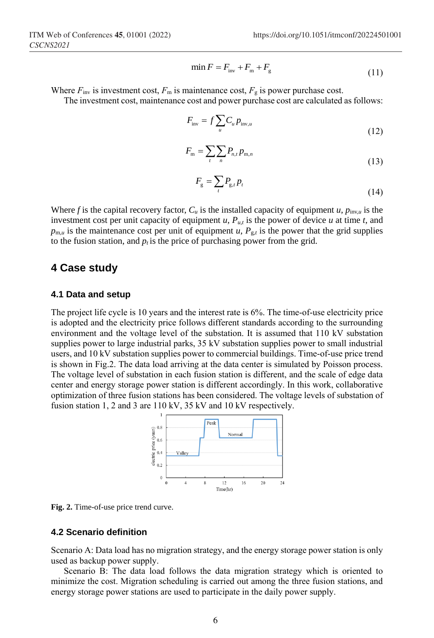$$
\min F = F_{\text{inv}} + F_{\text{m}} + F_{\text{g}} \tag{11}
$$

Where  $F_{\text{inv}}$  is investment cost,  $F_{\text{m}}$  is maintenance cost,  $F_{\text{g}}$  is power purchase cost.

The investment cost, maintenance cost and power purchase cost are calculated as follows:

$$
F_{\text{inv}} = f \sum_{u} C_u p_{\text{inv},u}
$$
\n(12)

$$
F_{\rm m} = \sum_{t} \sum_{n} P_{n,t} p_{\rm m,n} \tag{13}
$$

$$
F_{\rm g} = \sum_{t} P_{\rm g,t} p_t \tag{14}
$$

Where *f* is the capital recovery factor,  $C_u$  is the installed capacity of equipment *u*,  $p_{\text{inv},u}$  is the investment cost per unit capacity of equipment  $u$ ,  $P_{u,t}$  is the power of device  $u$  at time  $t$ , and  $p_{m,u}$  is the maintenance cost per unit of equipment *u*,  $P_{gt}$  is the power that the grid supplies to the fusion station, and  $p_t$  is the price of purchasing power from the grid.

### **4 Case study**

#### **4.1 Data and setup**

The project life cycle is 10 years and the interest rate is 6%. The time-of-use electricity price is adopted and the electricity price follows different standards according to the surrounding environment and the voltage level of the substation. It is assumed that 110 kV substation supplies power to large industrial parks, 35 kV substation supplies power to small industrial users, and 10 kV substation supplies power to commercial buildings. Time-of-use price trend is shown in Fig.2. The data load arriving at the data center is simulated by Poisson process. The voltage level of substation in each fusion station is different, and the scale of edge data center and energy storage power station is different accordingly. In this work, collaborative optimization of three fusion stations has been considered. The voltage levels of substation of fusion station 1, 2 and 3 are 110 kV, 35 kV and 10 kV respectively.



**Fig. 2.** Time-of-use price trend curve.

### **4.2 Scenario definition**

Scenario A: Data load has no migration strategy, and the energy storage power station is only used as backup power supply.

Scenario B: The data load follows the data migration strategy which is oriented to minimize the cost. Migration scheduling is carried out among the three fusion stations, and energy storage power stations are used to participate in the daily power supply.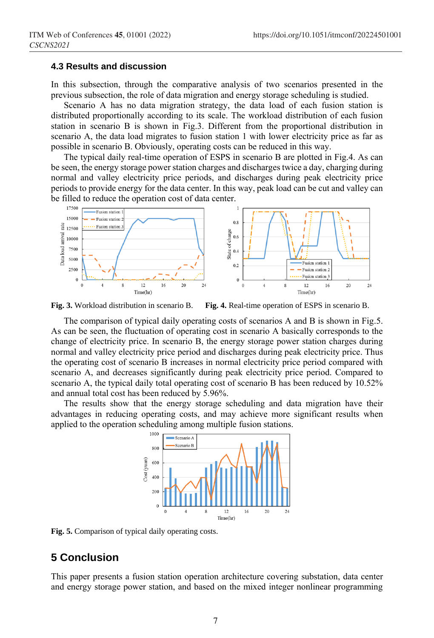#### **4.3 Results and discussion**

In this subsection, through the comparative analysis of two scenarios presented in the previous subsection, the role of data migration and energy storage scheduling is studied.

Scenario A has no data migration strategy, the data load of each fusion station is distributed proportionally according to its scale. The workload distribution of each fusion station in scenario B is shown in Fig.3. Different from the proportional distribution in scenario A, the data load migrates to fusion station 1 with lower electricity price as far as possible in scenario B. Obviously, operating costs can be reduced in this way.

The typical daily real-time operation of ESPS in scenario B are plotted in Fig.4. As can be seen, the energy storage power station charges and discharges twice a day, charging during normal and valley electricity price periods, and discharges during peak electricity price periods to provide energy for the data center. In this way, peak load can be cut and valley can be filled to reduce the operation cost of data center.



**Fig. 3.** Workload distribution in scenario B. **Fig. 4.** Real-time operation of ESPS in scenario B.

The comparison of typical daily operating costs of scenarios A and B is shown in Fig.5. As can be seen, the fluctuation of operating cost in scenario A basically corresponds to the change of electricity price. In scenario B, the energy storage power station charges during normal and valley electricity price period and discharges during peak electricity price. Thus the operating cost of scenario B increases in normal electricity price period compared with scenario A, and decreases significantly during peak electricity price period. Compared to scenario A, the typical daily total operating cost of scenario B has been reduced by 10.52% and annual total cost has been reduced by 5.96%.

The results show that the energy storage scheduling and data migration have their advantages in reducing operating costs, and may achieve more significant results when applied to the operation scheduling among multiple fusion stations.



**Fig. 5.** Comparison of typical daily operating costs.

# **5 Conclusion**

This paper presents a fusion station operation architecture covering substation, data center and energy storage power station, and based on the mixed integer nonlinear programming